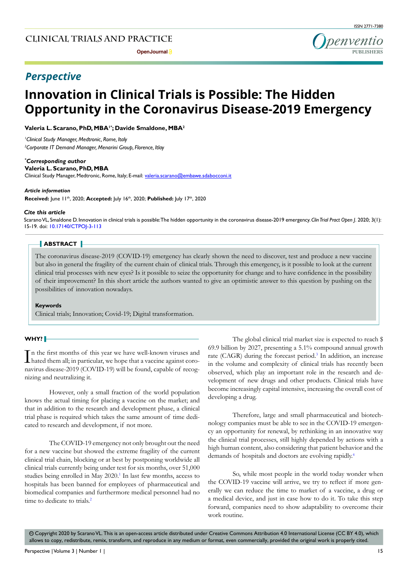**Open Journal P** 



# *Perspective*

# **Innovation in Clinical Trials is Possible: The Hidden Opportunity in the Coronavirus Disease-2019 Emergency**

**Valeria L. Scarano, PhD, MBA1\*; Davide Smaldone, MBA2** 

*1 Clinical Study Manager, Medtronic, Rome, Italy 2 Corporate IT Demand Manager, Menarini Group, Florence, Itlay*

#### *\* Corresponding author*

#### **Valeria L. Scarano, PhD, MBA**

Clinical Study Manager, Medtronic, Rome, Italy; E-mail: valeria.scarano@embawe.sdabocconi.it

#### *Article information*

**Received:** June 11th, 2020; **Accepted:** July 16th, 2020; **Published:** July 17th, 2020

#### *Cite this article*

Scarano VL, Smaldone D. Innovation in clinical trials is possible: The hidden opportunity in the coronavirus disease-2019 emergency. *Clin Trial Pract Open J*. 2020; 3(1): 15-19. doi: [10.17140/CTPOJ-3-113](http://dx.doi.org/10.17140/CTPOJ-3-113)

# **ABSTRACT**

The coronavirus disease-2019 (COVID-19) emergency has clearly shown the need to discover, test and produce a new vaccine but also in general the fragility of the current chain of clinical trials. Through this emergency, is it possible to look at the current clinical trial processes with new eyes? Is it possible to seize the opportunity for change and to have confidence in the possibility of their improvement? In this short article the authors wanted to give an optimistic answer to this question by pushing on the possibilities of innovation nowadays.

#### **Keywords**

Clinical trials; Innovation; Covid-19; Digital transformation.

# **WHY?**

In the first months of this year we have well-known viruses and<br>hated them all; in particular, we hope that a vaccine against coron the first months of this year we have well-known viruses and navirus disease-2019 (COVID-19) will be found, capable of recognizing and neutralizing it.

However, only a small fraction of the world population knows the actual timing for placing a vaccine on the market; and that in addition to the research and development phase, a clinical trial phase is required which takes the same amount of time dedicated to research and development, if not more.

The COVID-19 emergency not only brought out the need for a new vaccine but showed the extreme fragility of the current clinical trial chain, blocking or at best by postponing worldwide all clinical trials currently being under test for six months, over 51,000 studies being enrolled in May 2020.<sup>1</sup> In last few months, access to hospitals has been banned for employees of pharmaceutical and biomedical companies and furthermore medical personnel had no time to dedicate to trials.<sup>2</sup>

The global clinical trial market size is expected to reach \$ 69.9 billion by 2027, presenting a 5.1% compound annual growth rate (CAGR) during the forecast period.<sup>3</sup> In addition, an increase in the volume and complexity of clinical trials has recently been observed, which play an important role in the research and development of new drugs and other products. Clinical trials have become increasingly capital intensive, increasing the overall cost of developing a drug.

Therefore, large and small pharmaceutical and biotechnology companies must be able to see in the COVID-19 emergency an opportunity for renewal, by rethinking in an innovative way the clinical trial processes, still highly depended by actions with a high human content, also considering that patient behavior and the demands of hospitals and doctors are evolving rapidly.4

So, while most people in the world today wonder when the COVID-19 vaccine will arrive, we try to reflect if more generally we can reduce the time to market of a vaccine, a drug or a medical device, and just in case how to do it. To take this step forward, companies need to show adaptability to overcome their work routine.

 $\circledcirc$  Copyright 2020 by Scarano VL. This is an open-access article distributed under Creative Commons Attribution 4.0 International License (CC BY 4.0), which allows to copy, redistribute, remix, transform, and reproduce in any medium or format, even commercially, provided the original work is properly cited.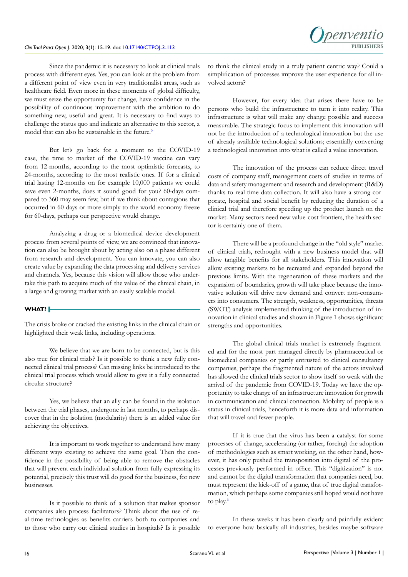Since the pandemic it is necessary to look at clinical trials process with different eyes. Yes, you can look at the problem from a different point of view even in very traditionalist areas, such as healthcare field. Even more in these moments of global difficulty, we must seize the opportunity for change, have confidence in the possibility of continuous improvement with the ambition to do something new, useful and great. It is necessary to find ways to challenge the status quo and indicate an alternative to this sector, a model that can also be sustainable in the future.<sup>5</sup>

But let's go back for a moment to the COVID-19 case, the time to market of the COVID-19 vaccine can vary from 12-months, according to the most optimistic forecasts, to 24-months, according to the most realistic ones. If for a clinical trial lasting 12-months on for example 10,000 patients we could save even 2-months, does it sound good for you? 60-days compared to 360 may seem few, but if we think about contagious that occurred in 60-days or more simply to the world economy freeze for 60-days, perhaps our perspective would change.

Analyzing a drug or a biomedical device development process from several points of view, we are convinced that innovation can also be brought about by acting also on a phase different from research and development. You can innovate, you can also create value by expanding the data processing and delivery services and channels. Yes, because this vision will allow those who undertake this path to acquire much of the value of the clinical chain, in a large and growing market with an easily scalable model.

# **WHAT?**

The crisis broke or cracked the existing links in the clinical chain or highlighted their weak links, including operations.

We believe that we are born to be connected, but is this also true for clinical trials? Is it possible to think a new fully connected clinical trial process? Can missing links be introduced to the clinical trial process which would allow to give it a fully connected circular structure?

Yes, we believe that an ally can be found in the isolation between the trial phases, undergone in last months, to perhaps discover that in the isolation (modularity) there is an added value for achieving the objectives.

It is important to work together to understand how many different ways existing to achieve the same goal. Then the confidence in the possibility of being able to remove the obstacles that will prevent each individual solution from fully expressing its potential, precisely this trust will do good for the business, for new businesses.

Is it possible to think of a solution that makes sponsor companies also process facilitators? Think about the use of real-time technologies as benefits carriers both to companies and to those who carry out clinical studies in hospitals? Is it possible to think the clinical study in a truly patient centric way? Could a simplification of processes improve the user experience for all involved actors?

However, for every idea that arises there have to be persons who build the infrastructure to turn it into reality. This infrastructure is what will make any change possible and success measurable. The strategic focus to implement this innovation will not be the introduction of a technological innovation but the use of already available technological solutions; essentially converting a technological innovation into what is called a value innovation.

The innovation of the process can reduce direct travel costs of company staff, management costs of studies in terms of data and safety management and research and development (R&D) thanks to real-time data collection. It will also have a strong corporate, hospital and social benefit by reducing the duration of a clinical trial and therefore speeding up the product launch on the market. Many sectors need new value-cost frontiers, the health sector is certainly one of them.

There will be a profound change in the "old style" market of clinical trials, rethought with a new business model that will allow tangible benefits for all stakeholders. This innovation will allow existing markets to be recreated and expanded beyond the previous limits. With the regeneration of these markets and the expansion of boundaries, growth will take place because the innovative solution will drive new demand and convert non-consumers into consumers. The strength, weakness, opportunities, threats (SWOT) analysis implemented thinking of the introduction of innovation in clinical studies and shown in Figure 1 shows significant strengths and opportunities.

The global clinical trials market is extremely fragmented and for the most part managed directly by pharmaceutical or biomedical companies or partly entrusted to clinical consultancy companies, perhaps the fragmented nature of the actors involved has allowed the clinical trials sector to show itself so weak with the arrival of the pandemic from COVID-19. Today we have the opportunity to take charge of an infrastructure innovation for growth in communication and clinical connection. Mobility of people is a status in clinical trials, henceforth it is more data and information that will travel and fewer people.

If it is true that the virus has been a catalyst for some processes of change, accelerating (or rather, forcing) the adoption of methodologies such as smart working, on the other hand, however, it has only pushed the transposition into digital of the processes previously performed in office. This "digitization" is not and cannot be the digital transformation that companies need, but must represent the kick-off of a game, that of true digital transformation, which perhaps some companies still hoped would not have to play.<sup>6</sup>

In these weeks it has been clearly and painfully evident to everyone how basically all industries, besides maybe software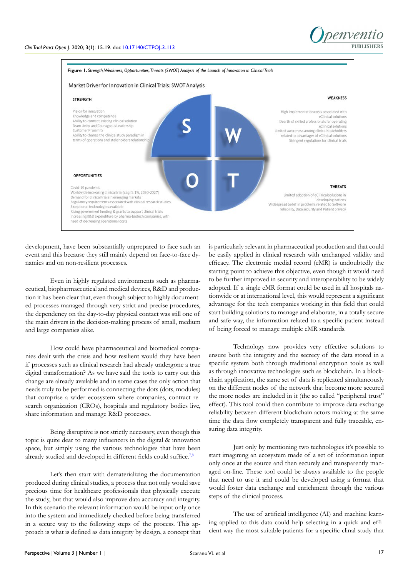

development, have been substantially unprepared to face such an event and this because they still mainly depend on face-to-face dynamics and on non-resilient processes.

Even in highly regulated environments such as pharmaceutical, biopharmaceutical and medical devices, R&D and production it has been clear that, even though subject to highly documented processes managed through very strict and precise procedures, the dependency on the day-to-day physical contact was still one of the main drivers in the decision-making process of small, medium and large companies alike.

How could have pharmaceutical and biomedical companies dealt with the crisis and how resilient would they have been if processes such as clinical research had already undergone a true digital transformation? As we have said the tools to carry out this change are already available and in some cases the only action that needs truly to be performed is connecting the dots (dots, modules) that comprise a wider ecosystem where companies, contract research organization (CROs), hospitals and regulatory bodies live, share information and manage R&D processes.

Being disruptive is not strictly necessary, even though this topic is quite dear to many influencers in the digital & innovation space, but simply using the various technologies that have been already studied and developed in different fields could suffice.<sup>7,8</sup>

Let's then start with dematerializing the documentation produced during clinical studies, a process that not only would save precious time for healthcare professionals that physically execute the study, but that would also improve data accuracy and integrity. In this scenario the relevant information would be input only once into the system and immediately checked before being transferred in a secure way to the following steps of the process. This approach is what is defined as data integrity by design, a concept that is particularly relevant in pharmaceutical production and that could be easily applied in clinical research with unchanged validity and efficacy. The electronic medial record (eMR) is undoubtedly the starting point to achieve this objective, even though it would need to be further improved in security and interoperability to be widely adopted. If a single eMR format could be used in all hospitals nationwide or at international level, this would represent a significant advantage for the tech companies working in this field that could start building solutions to manage and elaborate, in a totally secure and safe way, the information related to a specific patient instead of being forced to manage multiple eMR standards.

Technology now provides very effective solutions to ensure both the integrity and the secrecy of the data stored in a specific system both through traditional encryption tools as well as through innovative technologies such as blockchain. In a blockchain application, the same set of data is replicated simultaneously on the different nodes of the network that become more secured the more nodes are included in it (the so called "peripheral trust" effect). This tool could then contribute to improve data exchange reliability between different blockchain actors making at the same time the data flow completely transparent and fully traceable, ensuring data integrity.

Just only by mentioning two technologies it's possible to start imagining an ecosystem made of a set of information input only once at the source and then securely and transparently managed on-line. These tool could be always available to the people that need to use it and could be developed using a format that would foster data exchange and enrichment through the various steps of the clinical process.

The use of artificial intelligence (AI) and machine learning applied to this data could help selecting in a quick and efficient way the most suitable patients for a specific clinal study that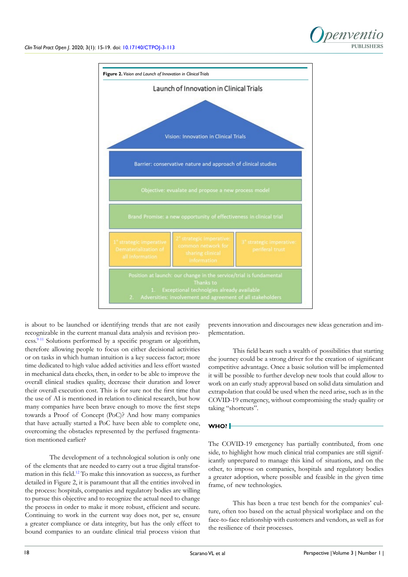



is about to be launched or identifying trends that are not easily recognizable in the current manual data analysis and revision process.9-11 Solutions performed by a specific program or algorithm, therefore allowing people to focus on either decisional activities or on tasks in which human intuition is a key success factor; more time dedicated to high value added activities and less effort wasted in mechanical data checks, then, in order to be able to improve the overall clinical studies quality, decrease their duration and lower their overall execution cost. This is for sure not the first time that the use of AI is mentioned in relation to clinical research, but how many companies have been brave enough to move the first steps towards a Proof of Concept (PoC)? And how many companies that have actually started a PoC have been able to complete one, overcoming the obstacles represented by the perfused fragmentation mentioned earlier?

The development of a technological solution is only one of the elements that are needed to carry out a true digital transformation in this field.12 To make this innovation as success, as further detailed in Figure 2, it is paramount that all the entities involved in the process: hospitals, companies and regulatory bodies are willing to pursue this objective and to recognize the actual need to change the process in order to make it more robust, efficient and secure. Continuing to work in the current way does not, per se, ensure a greater compliance or data integrity, but has the only effect to bound companies to an outdate clinical trial process vision that

prevents innovation and discourages new ideas generation and implementation.

This field bears such a wealth of possibilities that starting the journey could be a strong driver for the creation of significant competitive advantage. Once a basic solution will be implemented it will be possible to further develop new tools that could allow to work on an early study approval based on solid data simulation and extrapolation that could be used when the need arise, such as in the COVID-19 emergency, without compromising the study quality or taking "shortcuts".

# **WHO?**

The COVID-19 emergency has partially contributed, from one side, to highlight how much clinical trial companies are still significantly unprepared to manage this kind of situations, and on the other, to impose on companies, hospitals and regulatory bodies a greater adoption, where possible and feasible in the given time frame, of new technologies.

This has been a true test bench for the companies' culture, often too based on the actual physical workplace and on the face-to-face relationship with customers and vendors, as well as for the resilience of their processes.